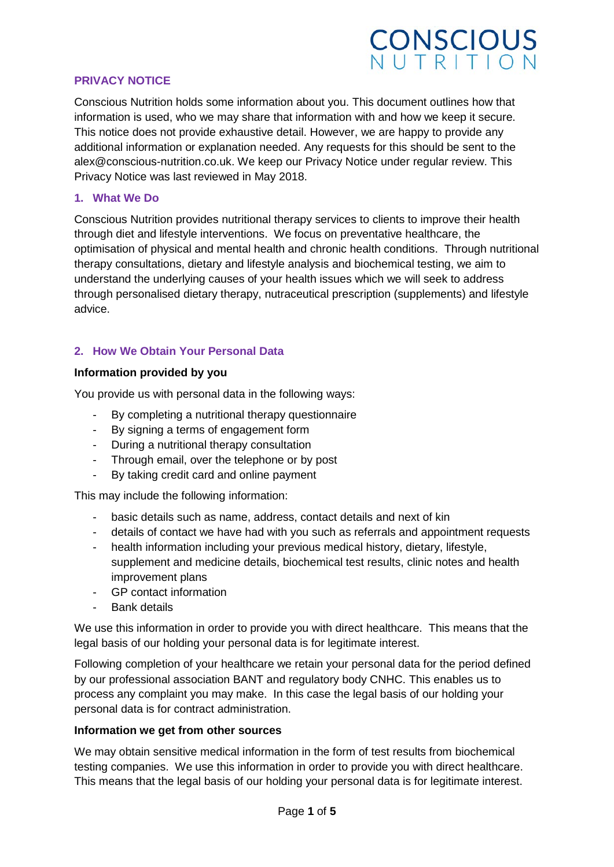## **CONSCIOUS**<br>NUTRITION

#### **PRIVACY NOTICE**

Conscious Nutrition holds some information about you. This document outlines how that information is used, who we may share that information with and how we keep it secure. This notice does not provide exhaustive detail. However, we are happy to provide any additional information or explanation needed. Any requests for this should be sent to the alex@conscious-nutrition.co.uk. We keep our Privacy Notice under regular review. This Privacy Notice was last reviewed in May 2018.

#### **1. What We Do**

Conscious Nutrition provides nutritional therapy services to clients to improve their health through diet and lifestyle interventions. We focus on preventative healthcare, the optimisation of physical and mental health and chronic health conditions. Through nutritional therapy consultations, dietary and lifestyle analysis and biochemical testing, we aim to understand the underlying causes of your health issues which we will seek to address through personalised dietary therapy, nutraceutical prescription (supplements) and lifestyle advice.

#### **2. How We Obtain Your Personal Data**

#### **Information provided by you**

You provide us with personal data in the following ways:

- By completing a nutritional therapy questionnaire
- By signing a terms of engagement form
- During a nutritional therapy consultation
- Through email, over the telephone or by post
- By taking credit card and online payment

This may include the following information:

- basic details such as name, address, contact details and next of kin
- details of contact we have had with you such as referrals and appointment requests
- health information including your previous medical history, dietary, lifestyle, supplement and medicine details, biochemical test results, clinic notes and health improvement plans
- GP contact information
- Bank details

We use this information in order to provide you with direct healthcare. This means that the legal basis of our holding your personal data is for legitimate interest.

Following completion of your healthcare we retain your personal data for the period defined by our professional association BANT and regulatory body CNHC. This enables us to process any complaint you may make. In this case the legal basis of our holding your personal data is for contract administration.

#### **Information we get from other sources**

We may obtain sensitive medical information in the form of test results from biochemical testing companies. We use this information in order to provide you with direct healthcare. This means that the legal basis of our holding your personal data is for legitimate interest.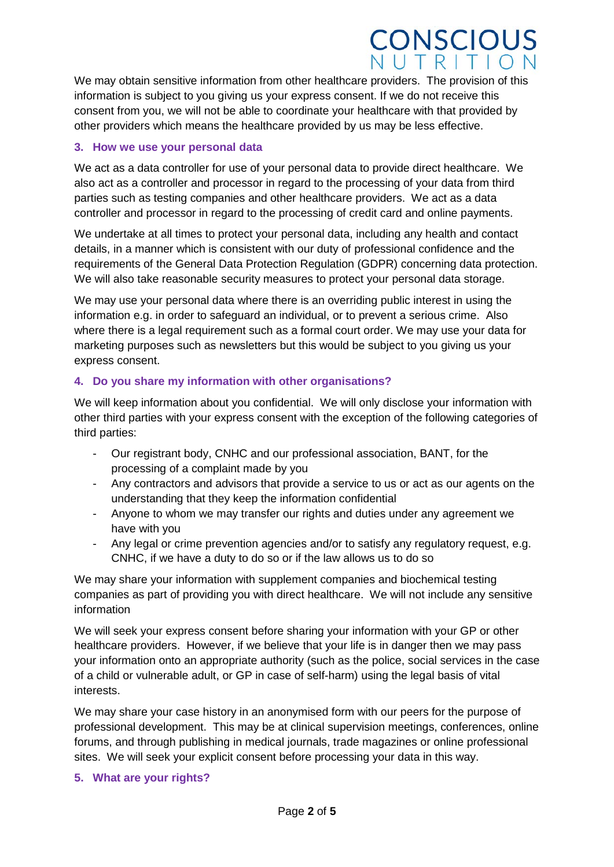### **CONSCIOUS** IUTRITION

We may obtain sensitive information from other healthcare providers. The provision of this information is subject to you giving us your express consent. If we do not receive this consent from you, we will not be able to coordinate your healthcare with that provided by other providers which means the healthcare provided by us may be less effective.

#### **3. How we use your personal data**

We act as a data controller for use of your personal data to provide direct healthcare. We also act as a controller and processor in regard to the processing of your data from third parties such as testing companies and other healthcare providers. We act as a data controller and processor in regard to the processing of credit card and online payments.

We undertake at all times to protect your personal data, including any health and contact details, in a manner which is consistent with our duty of professional confidence and the requirements of the General Data Protection Regulation (GDPR) concerning data protection. We will also take reasonable security measures to protect your personal data storage.

We may use your personal data where there is an overriding public interest in using the information e.g. in order to safeguard an individual, or to prevent a serious crime. Also where there is a legal requirement such as a formal court order. We may use your data for marketing purposes such as newsletters but this would be subject to you giving us your express consent.

#### **4. Do you share my information with other organisations?**

We will keep information about you confidential. We will only disclose your information with other third parties with your express consent with the exception of the following categories of third parties:

- Our registrant body, CNHC and our professional association, BANT, for the processing of a complaint made by you
- Any contractors and advisors that provide a service to us or act as our agents on the understanding that they keep the information confidential
- Anyone to whom we may transfer our rights and duties under any agreement we have with you
- Any legal or crime prevention agencies and/or to satisfy any regulatory request, e.g. CNHC, if we have a duty to do so or if the law allows us to do so

We may share your information with supplement companies and biochemical testing companies as part of providing you with direct healthcare. We will not include any sensitive information

We will seek your express consent before sharing your information with your GP or other healthcare providers. However, if we believe that your life is in danger then we may pass your information onto an appropriate authority (such as the police, social services in the case of a child or vulnerable adult, or GP in case of self-harm) using the legal basis of vital interests.

We may share your case history in an anonymised form with our peers for the purpose of professional development. This may be at clinical supervision meetings, conferences, online forums, and through publishing in medical journals, trade magazines or online professional sites. We will seek your explicit consent before processing your data in this way.

#### **5. What are your rights?**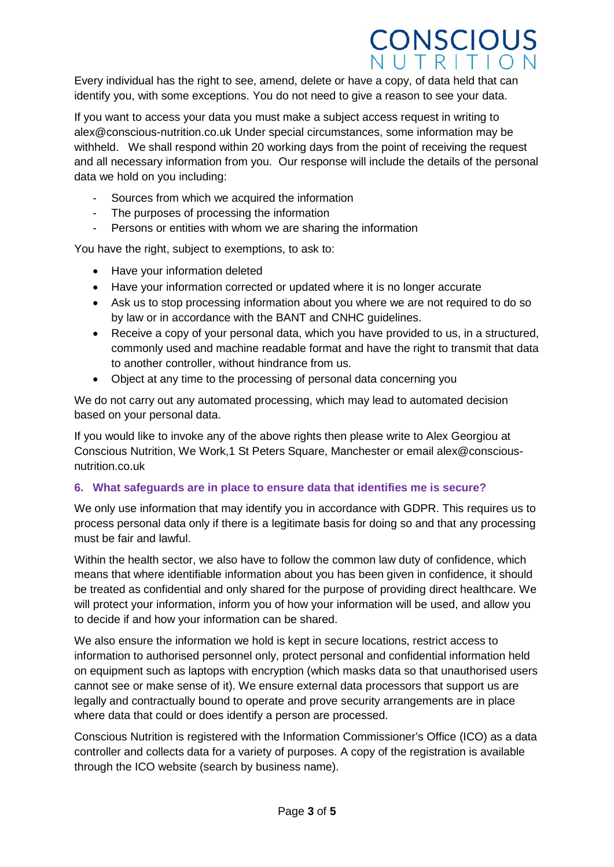### **CONSCIOUS** UTRITION

Every individual has the right to see, amend, delete or have a copy, of data held that can identify you, with some exceptions. You do not need to give a reason to see your data.

If you want to access your data you must make a subject access request in writing to alex@conscious-nutrition.co.uk Under special circumstances, some information may be withheld. We shall respond within 20 working days from the point of receiving the request and all necessary information from you. Our response will include the details of the personal data we hold on you including:

- Sources from which we acquired the information
- The purposes of processing the information
- Persons or entities with whom we are sharing the information

You have the right, subject to exemptions, to ask to:

- Have your information deleted
- Have your information corrected or updated where it is no longer accurate
- Ask us to stop processing information about you where we are not required to do so by law or in accordance with the BANT and CNHC guidelines.
- Receive a copy of your personal data, which you have provided to us, in a structured, commonly used and machine readable format and have the right to transmit that data to another controller, without hindrance from us.
- Object at any time to the processing of personal data concerning you

We do not carry out any automated processing, which may lead to automated decision based on your personal data.

If you would like to invoke any of the above rights then please write to Alex Georgiou at Conscious Nutrition, We Work,1 St Peters Square, Manchester or email alex@consciousnutrition.co.uk

#### **6. What safeguards are in place to ensure data that identifies me is secure?**

We only use information that may identify you in accordance with GDPR. This requires us to process personal data only if there is a legitimate basis for doing so and that any processing must be fair and lawful.

Within the health sector, we also have to follow the common law duty of confidence, which means that where identifiable information about you has been given in confidence, it should be treated as confidential and only shared for the purpose of providing direct healthcare. We will protect your information, inform you of how your information will be used, and allow you to decide if and how your information can be shared.

We also ensure the information we hold is kept in secure locations, restrict access to information to authorised personnel only, protect personal and confidential information held on equipment such as laptops with encryption (which masks data so that unauthorised users cannot see or make sense of it). We ensure external data processors that support us are legally and contractually bound to operate and prove security arrangements are in place where data that could or does identify a person are processed.

Conscious Nutrition is registered with the Information Commissioner's Office (ICO) as a data controller and collects data for a variety of purposes. A copy of the registration is available through the ICO website (search by business name).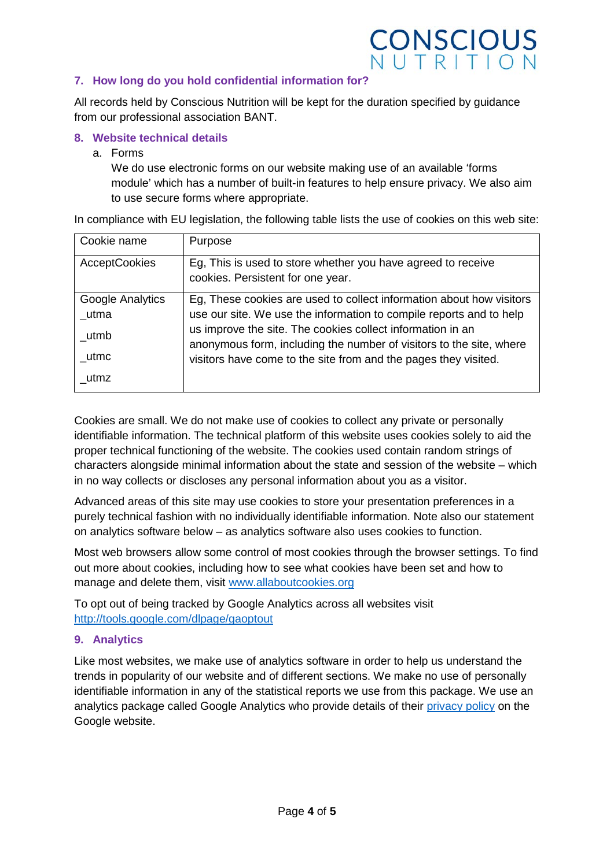# **CONSCIOUS**<br>NUTRITION

#### **7. How long do you hold confidential information for?**

All records held by Conscious Nutrition will be kept for the duration specified by guidance from our professional association BANT.

#### **8. Website technical details**

a. Forms

We do use electronic forms on our website making use of an available 'forms module' which has a number of built-in features to help ensure privacy. We also aim to use secure forms where appropriate.

In compliance with EU legislation, the following table lists the use of cookies on this web site:

| Cookie name          | Purpose                                                                                                                           |
|----------------------|-----------------------------------------------------------------------------------------------------------------------------------|
| <b>AcceptCookies</b> | Eg, This is used to store whether you have agreed to receive<br>cookies. Persistent for one year.                                 |
| Google Analytics     | Eg, These cookies are used to collect information about how visitors                                                              |
| utma                 | use our site. We use the information to compile reports and to help                                                               |
| utmb                 | us improve the site. The cookies collect information in an<br>anonymous form, including the number of visitors to the site, where |
| utmc                 | visitors have come to the site from and the pages they visited.                                                                   |
| utmz                 |                                                                                                                                   |

Cookies are small. We do not make use of cookies to collect any private or personally identifiable information. The technical platform of this website uses cookies solely to aid the proper technical functioning of the website. The cookies used contain random strings of characters alongside minimal information about the state and session of the website – which in no way collects or discloses any personal information about you as a visitor.

Advanced areas of this site may use cookies to store your presentation preferences in a purely technical fashion with no individually identifiable information. Note also our statement on analytics software below – as analytics software also uses cookies to function.

Most web browsers allow some control of most cookies through the browser settings. To find out more about cookies, including how to see what cookies have been set and how to manage and delete them, visit [www.allaboutcookies.org](http://www.allaboutcookies.org/)

To opt out of being tracked by Google Analytics across all websites visit <http://tools.google.com/dlpage/gaoptout>

#### **9. Analytics**

Like most websites, we make use of analytics software in order to help us understand the trends in popularity of our website and of different sections. We make no use of personally identifiable information in any of the statistical reports we use from this package. We use an analytics package called Google Analytics who provide details of their [privacy policy](http://www.google.com/intl/en/analytics/privacyoverview.html) on the Google website.